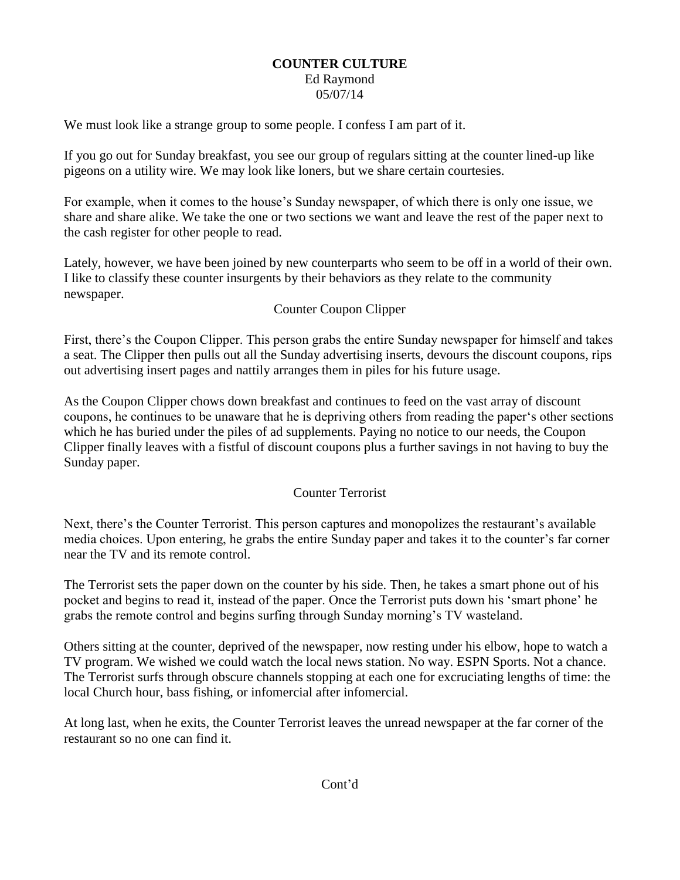## **COUNTER CULTURE** Ed Raymond 05/07/14

We must look like a strange group to some people. I confess I am part of it.

If you go out for Sunday breakfast, you see our group of regulars sitting at the counter lined-up like pigeons on a utility wire. We may look like loners, but we share certain courtesies.

For example, when it comes to the house's Sunday newspaper, of which there is only one issue, we share and share alike. We take the one or two sections we want and leave the rest of the paper next to the cash register for other people to read.

Lately, however, we have been joined by new counterparts who seem to be off in a world of their own. I like to classify these counter insurgents by their behaviors as they relate to the community newspaper.

## Counter Coupon Clipper

First, there's the Coupon Clipper. This person grabs the entire Sunday newspaper for himself and takes a seat. The Clipper then pulls out all the Sunday advertising inserts, devours the discount coupons, rips out advertising insert pages and nattily arranges them in piles for his future usage.

As the Coupon Clipper chows down breakfast and continues to feed on the vast array of discount coupons, he continues to be unaware that he is depriving others from reading the paper's other sections which he has buried under the piles of ad supplements. Paying no notice to our needs, the Coupon Clipper finally leaves with a fistful of discount coupons plus a further savings in not having to buy the Sunday paper.

## Counter Terrorist

Next, there's the Counter Terrorist. This person captures and monopolizes the restaurant's available media choices. Upon entering, he grabs the entire Sunday paper and takes it to the counter's far corner near the TV and its remote control.

The Terrorist sets the paper down on the counter by his side. Then, he takes a smart phone out of his pocket and begins to read it, instead of the paper. Once the Terrorist puts down his 'smart phone' he grabs the remote control and begins surfing through Sunday morning's TV wasteland.

Others sitting at the counter, deprived of the newspaper, now resting under his elbow, hope to watch a TV program. We wished we could watch the local news station. No way. ESPN Sports. Not a chance. The Terrorist surfs through obscure channels stopping at each one for excruciating lengths of time: the local Church hour, bass fishing, or infomercial after infomercial.

At long last, when he exits, the Counter Terrorist leaves the unread newspaper at the far corner of the restaurant so no one can find it.